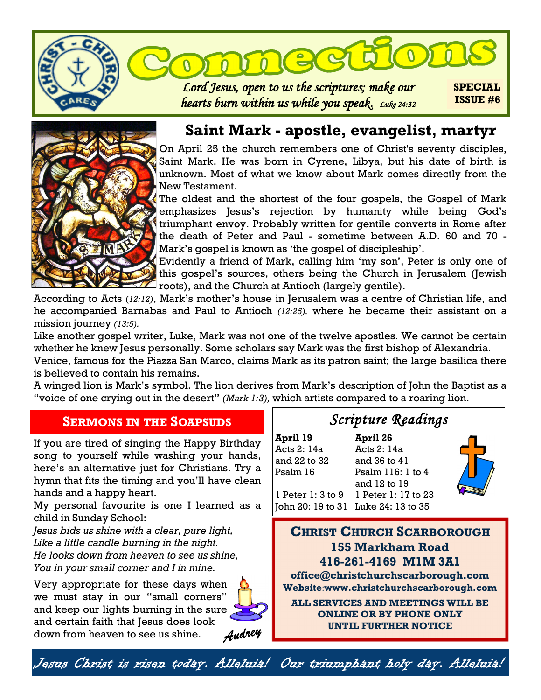



## **Saint Mark - apostle, evangelist, martyr**

On April 25 the church remembers one of Christ's seventy disciples, Saint Mark. He was born in Cyrene, Libya, but his date of birth is unknown. Most of what we know about Mark comes directly from the New Testament.

The oldest and the shortest of the four gospels, the Gospel of Mark emphasizes Jesus's rejection by humanity while being God's triumphant envoy. Probably written for gentile converts in Rome after the death of Peter and Paul - sometime between A.D. 60 and 70 - Mark's gospel is known as 'the gospel of discipleship'.

Evidently a friend of Mark, calling him 'my son', Peter is only one of this gospel's sources, others being the Church in Jerusalem (Jewish roots), and the Church at Antioch (largely gentile).

According to Acts (*12:12)*, Mark's mother's house in [Jerusalem](https://www.britannica.com/place/Jerusalem) was a centre of Christian life, and he accompanied [Barnabas](https://www.britannica.com/biography/Saint-Barnabas) and [Paul](https://www.britannica.com/biography/Saint-Paul-the-Apostle) to Antioch *(12:25),* where he became their assistant on a mission journey *(13:5).* 

Like another gospel writer, Luke, Mark was not one of the twelve apostles. We cannot be certain whether he knew Jesus personally. Some scholars say Mark was the first bishop of Alexandria.

Venice, famous for the Piazza San Marco, claims Mark as its patron saint; the large basilica there is believed to contain his remains.

A winged lion is Mark's symbol. The lion derives from Mark's description of John the Baptist as a "voice of one crying out in the desert" *(Mark 1:3),* which artists compared to a roaring lion.

### **SERMONS IN THE SOAPSUDS**

If you are tired of singing the Happy Birthday song to yourself while washing your hands, here's an alternative just for Christians. Try a hymn that fits the timing and you'll have clean hands and a happy heart.

My personal favourite is one I learned as a child in Sunday School:

*Jesus bids us shine with a clear, pure light, Like a little candle burning in the night. He looks down from heaven to see us shine, You in your small corner and I in mine.*

Very appropriate for these days when we must stay in our "small corners" and keep our lights burning in the sure and certain faith that Jesus does look down from heaven to see us shine.



Audrey

# *Scripture Readings*

**April 19 April 26**  Acts 2: 14a Acts 2: 14a and 22 to 32 and 36 to 41 Psalm 16 Psalm 116: 1 to 4

and 12 to 19



1 Peter 1: 3 to 9 1 Peter 1: 17 to 23 John 20: 19 to 31 Luke 24: 13 to 35

**CHRIST CHURCH SCARBOROUGH 155 Markham Road 416-261-4169 M1M 3A1 office@christchurchscarborough.com Website**:**www.christchurchscarborough.com**

**ALL SERVICES AND MEETINGS WILL BE ONLINE OR BY PHONE ONLY UNTIL FURTHER NOTICE**

Jesus Christ is risen today. Alleluia! Our triumphant holy day. Alleluia!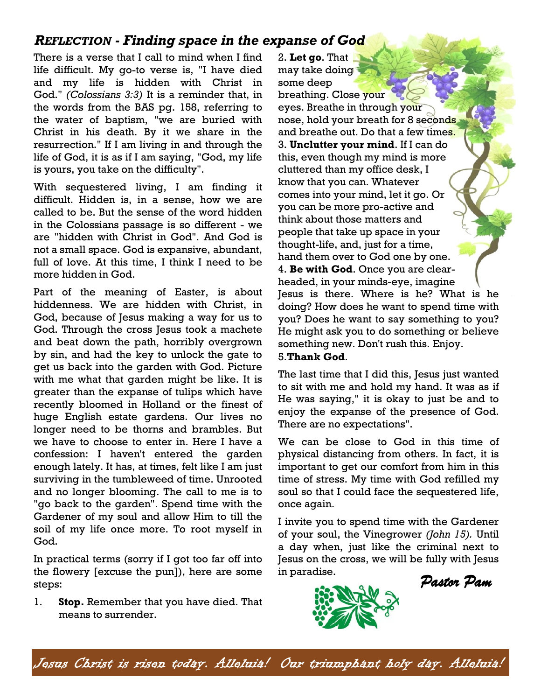## *REFLECTION - Finding space in the expanse of God*

There is a verse that I call to mind when I find life difficult. My go-to verse is, "I have died and my life is hidden with Christ in God." *(Colossians 3:3)* It is a reminder that, in the words from the BAS pg. 158, referring to the water of baptism, "we are buried with Christ in his death. By it we share in the resurrection." If I am living in and through the life of God, it is as if I am saying, "God, my life is yours, you take on the difficulty".

With sequestered living, I am finding it difficult. Hidden is, in a sense, how we are called to be. But the sense of the word hidden in the Colossians passage is so different - we are "hidden with Christ in God". And God is not a small space. God is expansive, abundant, full of love. At this time, I think I need to be more hidden in God.

Part of the meaning of Easter, is about hiddenness. We are hidden with Christ, in God, because of Jesus making a way for us to God. Through the cross Jesus took a machete and beat down the path, horribly overgrown by sin, and had the key to unlock the gate to get us back into the garden with God. Picture with me what that garden might be like. It is greater than the expanse of tulips which have recently bloomed in Holland or the finest of huge English estate gardens. Our lives no longer need to be thorns and brambles. But we have to choose to enter in. Here I have a confession: I haven't entered the garden enough lately. It has, at times, felt like I am just surviving in the tumbleweed of time. Unrooted and no longer blooming. The call to me is to "go back to the garden". Spend time with the Gardener of my soul and allow Him to till the soil of my life once more. To root myself in God.

In practical terms (sorry if I got too far off into the flowery [excuse the pun]), here are some steps:

1. **Stop.** Remember that you have died. That means to surrender.

2. **Let go**. That may take doing some deep breathing. Close your eyes. Breathe in through your nose, hold your breath for 8 seconds and breathe out. Do that a few times. 3. **Unclutter your mind**. If I can do this, even though my mind is more cluttered than my office desk, I know that you can. Whatever comes into your mind, let it go. Or you can be more pro-active and think about those matters and people that take up space in your thought-life, and, just for a time, hand them over to God one by one. 4. **Be with God**. Once you are clearheaded, in your minds-eye, imagine Jesus is there. Where is he? What is he doing? How does he want to spend time with you? Does he want to say something to you? He might ask you to do something or believe something new. Don't rush this. Enjoy.

#### 5.**Thank God**.

The last time that I did this, Jesus just wanted to sit with me and hold my hand. It was as if He was saying," it is okay to just be and to enjoy the expanse of the presence of God. There are no expectations".

We can be close to God in this time of physical distancing from others. In fact, it is important to get our comfort from him in this time of stress. My time with God refilled my soul so that I could face the sequestered life, once again.

I invite you to spend time with the Gardener of your soul, the Vinegrower *(John 15).* Until a day when, just like the criminal next to Jesus on the cross, we will be fully with Jesus in paradise. *Pastor Pam* 



Jesus Christ is risen today. Alleluia! Our triumphant holy day. Alleluia!